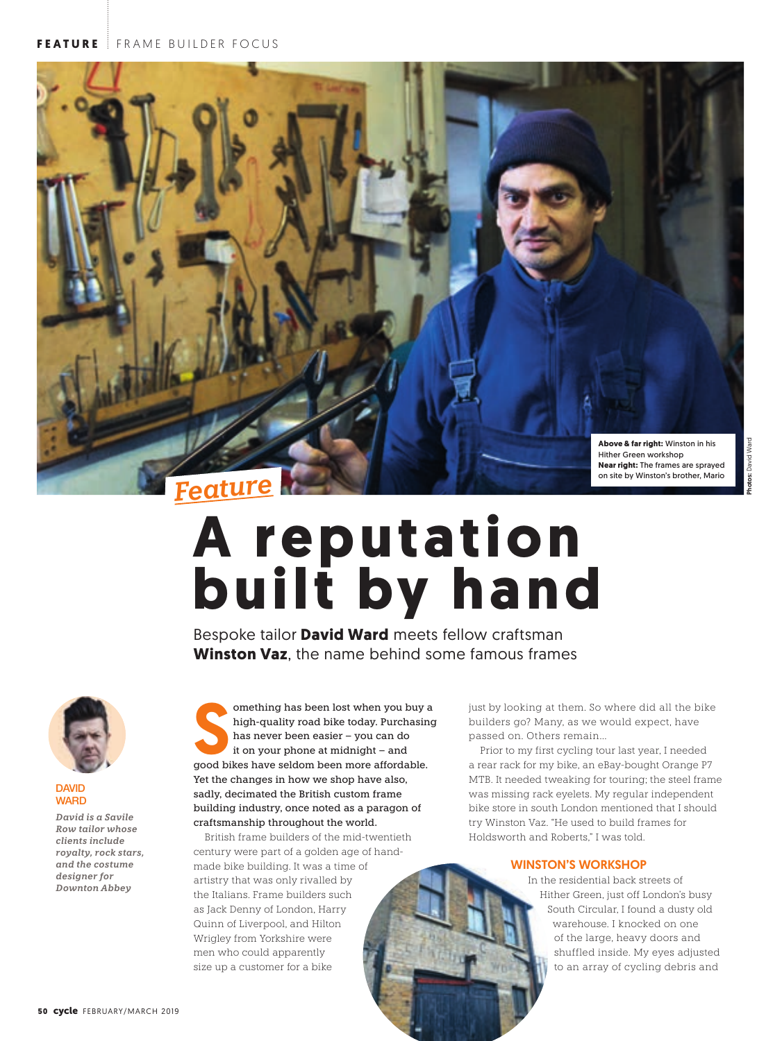

# A reputation **built by hand**

Bespoke tailor **David Ward** meets fellow craftsman **Winston Vaz**, the name behind some famous frames



## **DAVID WARD**

*David is a Savile Row tailor whose clients include royalty, rock stars, and the costume designer for Downton Abbey*

omething has been lost when you buy a<br>high-quality road bike today. Purchasin<br>has never been easier – you can do<br>it on your phone at midnight – and<br>good bikes have seldom been more affordable. omething has been lost when you buy a high-quality road bike today. Purchasing has never been easier – you can do it on your phone at midnight – and Yet the changes in how we shop have also, sadly, decimated the British custom frame building industry, once noted as a paragon of craftsmanship throughout the world.

British frame builders of the mid-twentieth century were part of a golden age of handmade bike building. It was a time of artistry that was only rivalled by the Italians. Frame builders such as Jack Denny of London, Harry Quinn of Liverpool, and Hilton Wrigley from Yorkshire were men who could apparently size up a customer for a bike

just by looking at them. So where did all the bike builders go? Many, as we would expect, have passed on. Others remain…

Prior to my first cycling tour last year, I needed a rear rack for my bike, an eBay-bought Orange P7 MTB. It needed tweaking for touring; the steel frame was missing rack eyelets. My regular independent bike store in south London mentioned that I should try Winston Vaz. "He used to build frames for Holdsworth and Roberts," I was told.

# WINSTON'S WORKSHOP

In the residential back streets of Hither Green, just off London's busy South Circular, I found a dusty old warehouse. I knocked on one of the large, heavy doors and shuffled inside. My eyes adjusted to an array of cycling debris and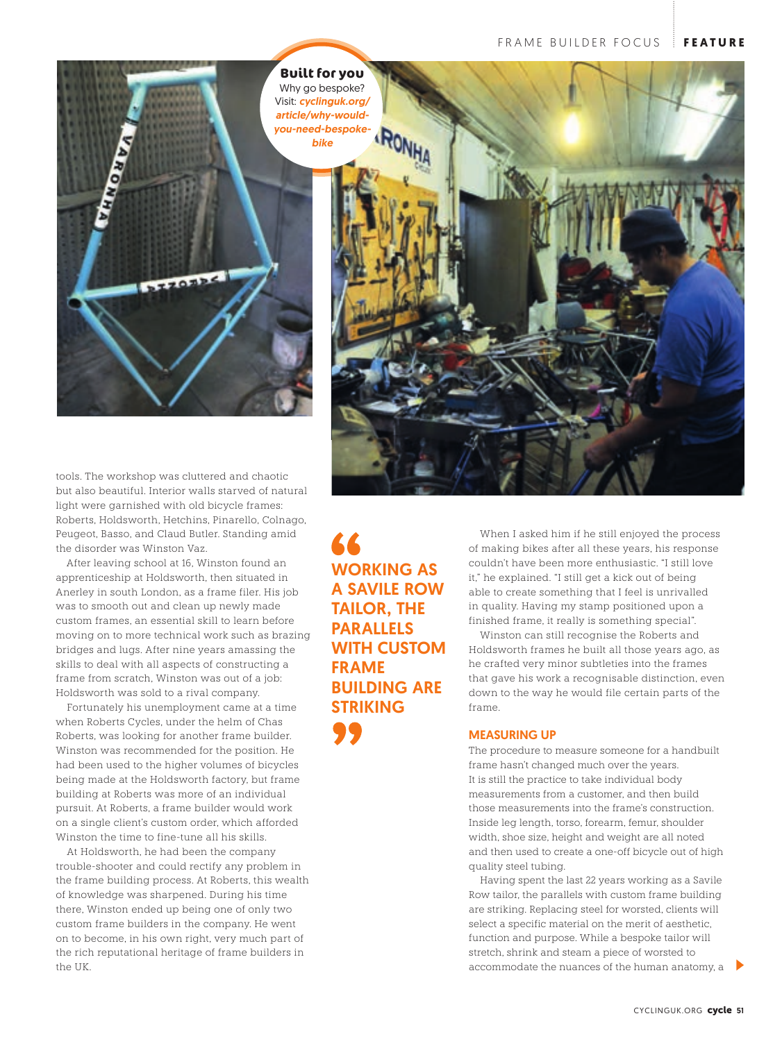

tools. The workshop was cluttered and chaotic but also beautiful. Interior walls starved of natural light were garnished with old bicycle frames: Roberts, Holdsworth, Hetchins, Pinarello, Colnago, Peugeot, Basso, and Claud Butler. Standing amid the disorder was Winston Vaz.

After leaving school at 16, Winston found an apprenticeship at Holdsworth, then situated in Anerley in south London, as a frame filer. His job was to smooth out and clean up newly made custom frames, an essential skill to learn before moving on to more technical work such as brazing bridges and lugs. After nine years amassing the skills to deal with all aspects of constructing a frame from scratch, Winston was out of a job: Holdsworth was sold to a rival company.

Fortunately his unemployment came at a time when Roberts Cycles, under the helm of Chas Roberts, was looking for another frame builder. Winston was recommended for the position. He had been used to the higher volumes of bicycles being made at the Holdsworth factory, but frame building at Roberts was more of an individual pursuit. At Roberts, a frame builder would work on a single client's custom order, which afforded Winston the time to fine-tune all his skills.

At Holdsworth, he had been the company trouble-shooter and could rectify any problem in the frame building process. At Roberts, this wealth of knowledge was sharpened. During his time there, Winston ended up being one of only two custom frame builders in the company. He went on to become, in his own right, very much part of the rich reputational heritage of frame builders in  $tho IIX$ 

WORKING AS A SAVILE ROW TAILOR, THE PARALLELS WITH CUSTOM FRAME BUILDING ARE STRIKING

When I asked him if he still enjoyed the process of making bikes after all these years, his response couldn't have been more enthusiastic. "I still love it," he explained. "I still get a kick out of being able to create something that I feel is unrivalled in quality. Having my stamp positioned upon a finished frame, it really is something special".

Winston can still recognise the Roberts and Holdsworth frames he built all those years ago, as he crafted very minor subtleties into the frames that gave his work a recognisable distinction, even down to the way he would file certain parts of the frame.

## MEASURING UP

The procedure to measure someone for a handbuilt frame hasn't changed much over the years. It is still the practice to take individual body measurements from a customer, and then build those measurements into the frame's construction. Inside leg length, torso, forearm, femur, shoulder width, shoe size, height and weight are all noted and then used to create a one-off bicycle out of high quality steel tubing.

Having spent the last 22 years working as a Savile Row tailor, the parallels with custom frame building are striking. Replacing steel for worsted, clients will select a specific material on the merit of aesthetic, function and purpose. While a bespoke tailor will stretch, shrink and steam a piece of worsted to accommodate the nuances of the human anatomy, a